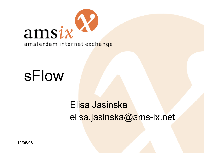

# sFlow

### Elisa Jasinska elisa.jasinska@ams-ix.net

10/05/06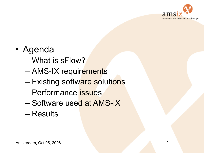

#### • Agenda

- What is sFlow?
- AMS-IX requirements
- Existing software solutions
- Performance issues
- Software used at AMS-IX
- Results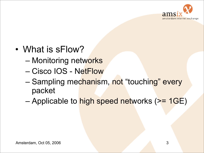

- What is sFlow?
	- Monitoring networks
	- Cisco IOS NetFlow
	- Sampling mechanism, not "touching" every packet
	- Applicable to high speed networks (>= 1GE)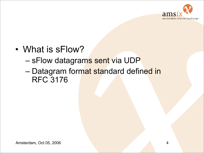

- What is sFlow?
	- sFlow datagrams sent via UDP
	- Datagram format standard defined in RFC 3176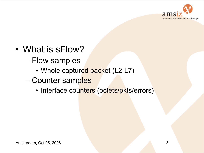

- What is sFlow?
	- Flow samples
		- Whole captured packet (L2-L7)
	- Counter samples
		- Interface counters (octets/pkts/errors)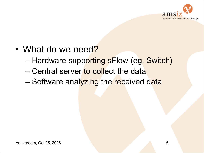

- What do we need?
	- Hardware supporting sFlow (eg. Switch)
	- Central server to collect the data
	- Software analyzing the received data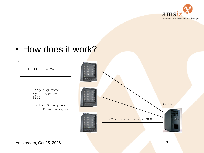

#### • How does it work?

Traffic In/Out

Sampling rate eg. 1 out of 8192

Up to 10 samples one sFlow datagram

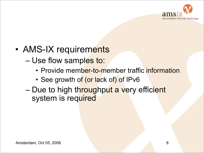

- AMS-IX requirements
	- Use flow samples to:
		- Provide member-to-member traffic information
		- See growth of (or lack of) of IPv6
	- Due to high throughput a very efficient system is required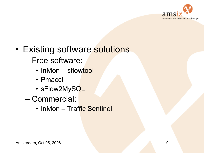

- Existing software solutions
	- Free software:
		- InMon sflowtool
		- Pmacct
		- sFlow2MySQL
	- Commercial:
		- InMon Traffic Sentinel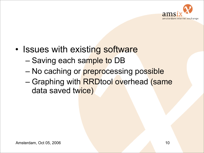

- Issues with existing software
	- Saving each sample to DB
	- No caching or preprocessing possible
	- Graphing with RRDtool overhead (same data saved twice)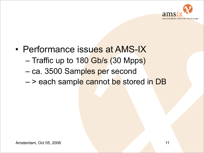

- Performance issues at AMS-IX – Traffic up to 180 Gb/s (30 Mpps)
	- ca. 3500 Samples per second
	- > each sample cannot be stored in DB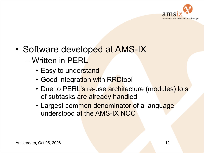

- Software developed at AMS-IX – Written in PERL
	- Easy to understand
	- Good integration with RRDtool
	- Due to PERL's re-use architecture (modules) lots of subtasks are already handled
	- Largest common denominator of a language understood at the AMS-IX NOC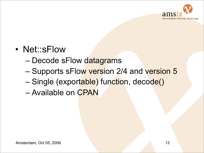

#### • Net::sFlow

- Decode sFlow datagrams
- Supports sFlow version 2/4 and version 5
- Single (exportable) function, decode()
- Available on CPAN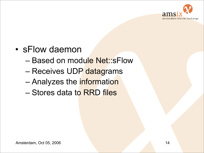

- sFlow daemon
	- Based on module Net::sFlow
	- Receives UDP datagrams
	- Analyzes the **information**
	- Stores data to RRD files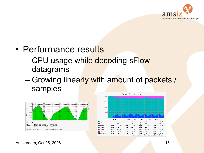

#### • Performance results

#### – CPU usage while decoding sFlow datagrams

#### – Growing linearly with amount of packets / samples





Amsterdam, Oct 05, 2006 15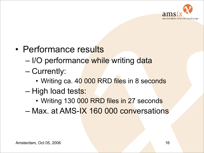

- Performance results
	- I/O performance while writing data
	- Currently:
		- Writing ca. 40 000 RRD files in 8 seconds
	- High load tests:
		- Writing 130 000 RRD files in 27 seconds
	- Max. at AMS-IX 160 000 conversations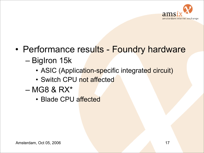

- Performance results Foundry hardware – BigIron 15k
	- ASIC (Application-specific integrated circuit)
	- Switch CPU not affected
	- $-$  MG8 & RX $*$ 
		- Blade CPU affected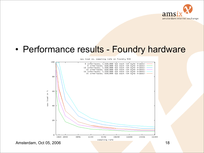

#### • Performance results - Foundry hardware

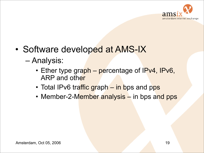

- Software developed at AMS-IX
	- Analysis:
		- Ether type graph percentage of IPv4, IPv6, ARP and other
		- Total IPv6 traffic graph in bps and pps
		- Member-2-Member analysis in bps and pps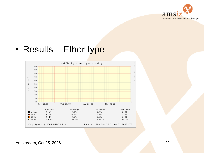

#### • Results – Ether type

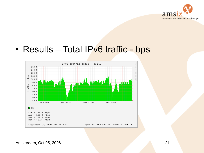

#### • Results - Total IPv6 traffic - bps

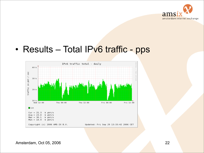

#### • Results - Total IPv6 traffic - pps

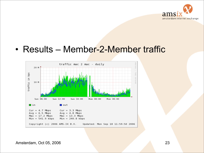

#### • Results – Member-2-Member traffic

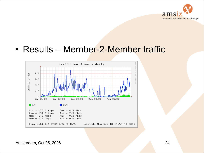

#### • Results – Member-2-Member traffic

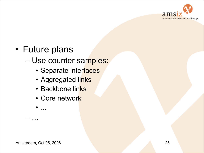

#### • Future plans

#### – Use counter samples:

- Separate interfaces
- Aggregated links
- Backbone links
- Core network

• ...

– ...